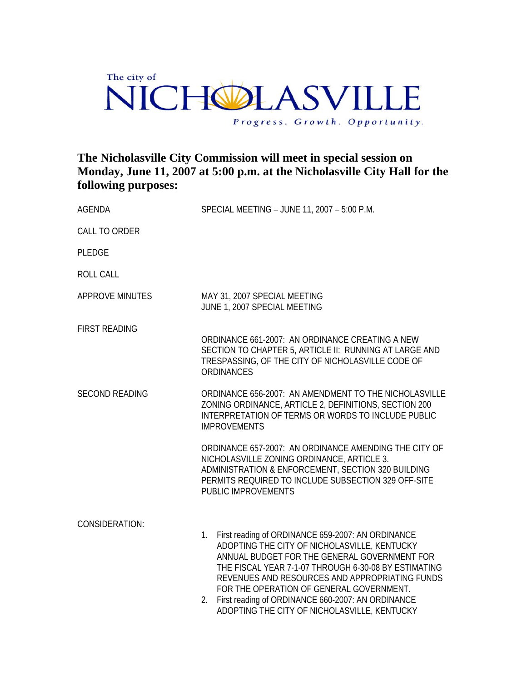## The city of VICHOLASVILLE  $\Gamma$ Progress. Growth. Opportunity.

## **The Nicholasville City Commission will meet in special session on Monday, June 11, 2007 at 5:00 p.m. at the Nicholasville City Hall for the following purposes:**

| <b>AGENDA</b>          | SPECIAL MEETING - JUNE 11, 2007 - 5:00 P.M.                                                                                                                                                                                                                                                                                                                                                                              |
|------------------------|--------------------------------------------------------------------------------------------------------------------------------------------------------------------------------------------------------------------------------------------------------------------------------------------------------------------------------------------------------------------------------------------------------------------------|
| <b>CALL TO ORDER</b>   |                                                                                                                                                                                                                                                                                                                                                                                                                          |
| <b>PLEDGE</b>          |                                                                                                                                                                                                                                                                                                                                                                                                                          |
| <b>ROLL CALL</b>       |                                                                                                                                                                                                                                                                                                                                                                                                                          |
| <b>APPROVE MINUTES</b> | MAY 31, 2007 SPECIAL MEETING<br>JUNE 1, 2007 SPECIAL MEETING                                                                                                                                                                                                                                                                                                                                                             |
| <b>FIRST READING</b>   | ORDINANCE 661-2007: AN ORDINANCE CREATING A NEW<br>SECTION TO CHAPTER 5, ARTICLE II: RUNNING AT LARGE AND<br>TRESPASSING, OF THE CITY OF NICHOLASVILLE CODE OF<br><b>ORDINANCES</b>                                                                                                                                                                                                                                      |
| <b>SECOND READING</b>  | ORDINANCE 656-2007: AN AMENDMENT TO THE NICHOLASVILLE<br>ZONING ORDINANCE, ARTICLE 2, DEFINITIONS, SECTION 200<br>INTERPRETATION OF TERMS OR WORDS TO INCLUDE PUBLIC<br><b>IMPROVEMENTS</b>                                                                                                                                                                                                                              |
|                        | ORDINANCE 657-2007: AN ORDINANCE AMENDING THE CITY OF<br>NICHOLASVILLE ZONING ORDINANCE, ARTICLE 3.<br>ADMINISTRATION & ENFORCEMENT, SECTION 320 BUILDING<br>PERMITS REQUIRED TO INCLUDE SUBSECTION 329 OFF-SITE<br>PUBLIC IMPROVEMENTS                                                                                                                                                                                  |
| <b>CONSIDERATION:</b>  | First reading of ORDINANCE 659-2007: AN ORDINANCE<br>1.<br>ADOPTING THE CITY OF NICHOLASVILLE, KENTUCKY<br>ANNUAL BUDGET FOR THE GENERAL GOVERNMENT FOR<br>THE FISCAL YEAR 7-1-07 THROUGH 6-30-08 BY ESTIMATING<br>REVENUES AND RESOURCES AND APPROPRIATING FUNDS<br>FOR THE OPERATION OF GENERAL GOVERNMENT.<br>First reading of ORDINANCE 660-2007: AN ORDINANCE<br>2.<br>ADOPTING THE CITY OF NICHOLASVILLE, KENTUCKY |